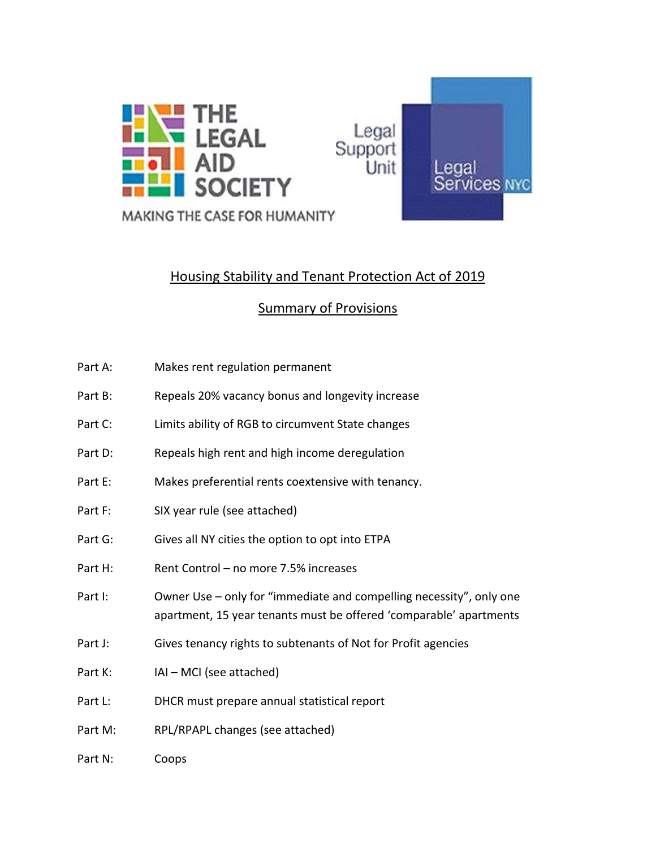

# Housing Stability and Tenant Protection Act of 2019

## Summary of Provisions

- Part A: Makes rent regulation permanent
- Part B: Repeals 20% vacancy bonus and longevity increase
- Part C: Limits ability of RGB to circumvent State changes
- Part D: Repeals high rent and high income deregulation
- Part E: Makes preferential rents coextensive with tenancy.
- Part F: SIX year rule (see attached)
- Part G: Gives all NY cities the option to opt into ETPA
- Part H: Rent Control no more 7.5% increases
- Part I: Owner Use only for "immediate and compelling necessity", only one apartment, 15 year tenants must be offered 'comparable' apartments
- Part J: Gives tenancy rights to subtenants of Not for Profit agencies
- Part K: IAI MCI (see attached)
- Part L: DHCR must prepare annual statistical report
- Part M: RPL/RPAPL changes (see attached)
- Part N: Coops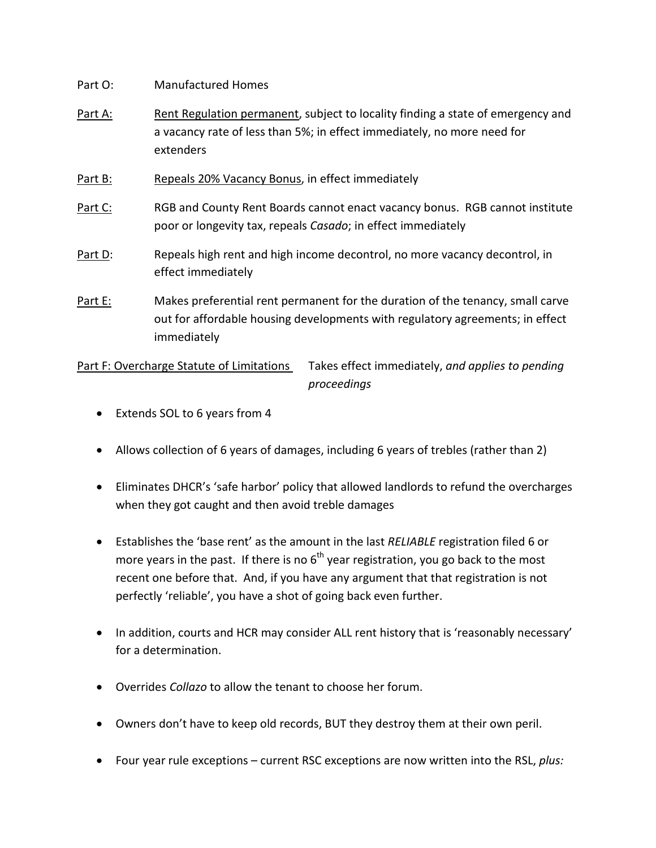- Part O: Manufactured Homes
- Part A: Rent Regulation permanent, subject to locality finding a state of emergency and a vacancy rate of less than 5%; in effect immediately, no more need for extenders
- Part B: Repeals 20% Vacancy Bonus, in effect immediately
- Part C: RGB and County Rent Boards cannot enact vacancy bonus. RGB cannot institute poor or longevity tax, repeals *Casado*; in effect immediately
- Part D: Repeals high rent and high income decontrol, no more vacancy decontrol, in effect immediately
- Part E: Makes preferential rent permanent for the duration of the tenancy, small carve out for affordable housing developments with regulatory agreements; in effect immediately

Part F: Overcharge Statute of Limitations Takes effect immediately, *and applies to pending proceedings*

- Extends SOL to 6 years from 4
- Allows collection of 6 years of damages, including 6 years of trebles (rather than 2)
- Eliminates DHCR's 'safe harbor' policy that allowed landlords to refund the overcharges when they got caught and then avoid treble damages
- Establishes the 'base rent' as the amount in the last *RELIABLE* registration filed 6 or more years in the past. If there is no  $6<sup>th</sup>$  year registration, you go back to the most recent one before that. And, if you have any argument that that registration is not perfectly 'reliable', you have a shot of going back even further.
- In addition, courts and HCR may consider ALL rent history that is 'reasonably necessary' for a determination.
- Overrides *Collazo* to allow the tenant to choose her forum.
- Owners don't have to keep old records, BUT they destroy them at their own peril.
- Four year rule exceptions current RSC exceptions are now written into the RSL, *plus:*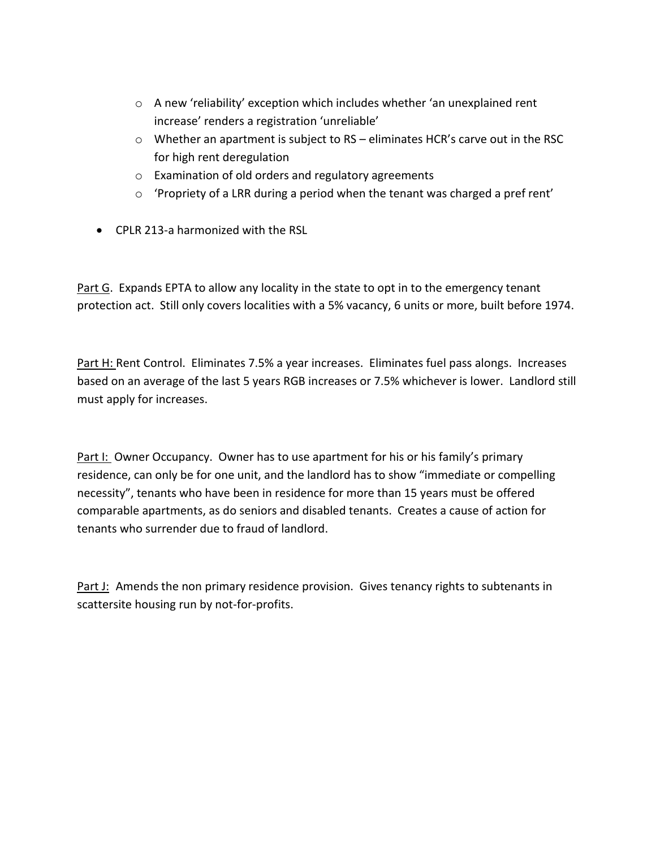- o A new 'reliability' exception which includes whether 'an unexplained rent increase' renders a registration 'unreliable'
- $\circ$  Whether an apartment is subject to RS eliminates HCR's carve out in the RSC for high rent deregulation
- o Examination of old orders and regulatory agreements
- o 'Propriety of a LRR during a period when the tenant was charged a pref rent'
- CPLR 213-a harmonized with the RSL

Part G. Expands EPTA to allow any locality in the state to opt in to the emergency tenant protection act. Still only covers localities with a 5% vacancy, 6 units or more, built before 1974.

Part H: Rent Control. Eliminates 7.5% a year increases. Eliminates fuel pass alongs. Increases based on an average of the last 5 years RGB increases or 7.5% whichever is lower. Landlord still must apply for increases.

Part I: Owner Occupancy. Owner has to use apartment for his or his family's primary residence, can only be for one unit, and the landlord has to show "immediate or compelling necessity", tenants who have been in residence for more than 15 years must be offered comparable apartments, as do seniors and disabled tenants. Creates a cause of action for tenants who surrender due to fraud of landlord.

Part J: Amends the non primary residence provision. Gives tenancy rights to subtenants in scattersite housing run by not-for-profits.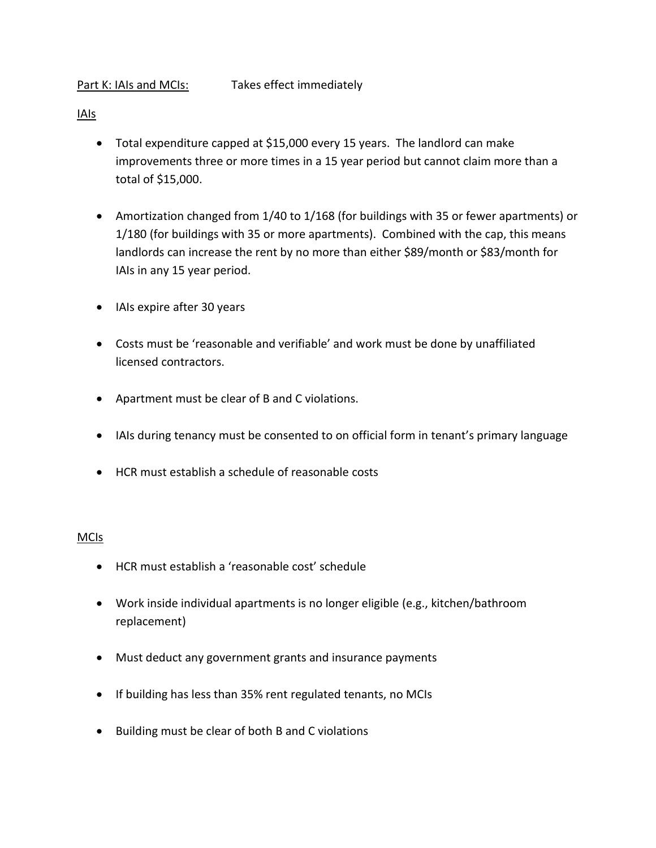- IAIs
	- Total expenditure capped at \$15,000 every 15 years. The landlord can make improvements three or more times in a 15 year period but cannot claim more than a total of \$15,000.
	- Amortization changed from 1/40 to 1/168 (for buildings with 35 or fewer apartments) or 1/180 (for buildings with 35 or more apartments). Combined with the cap, this means landlords can increase the rent by no more than either \$89/month or \$83/month for IAIs in any 15 year period.
	- IAIs expire after 30 years
	- Costs must be 'reasonable and verifiable' and work must be done by unaffiliated licensed contractors.
	- Apartment must be clear of B and C violations.
	- IAIs during tenancy must be consented to on official form in tenant's primary language
	- HCR must establish a schedule of reasonable costs

#### MCIs

- HCR must establish a 'reasonable cost' schedule
- Work inside individual apartments is no longer eligible (e.g., kitchen/bathroom replacement)
- Must deduct any government grants and insurance payments
- If building has less than 35% rent regulated tenants, no MCIs
- Building must be clear of both B and C violations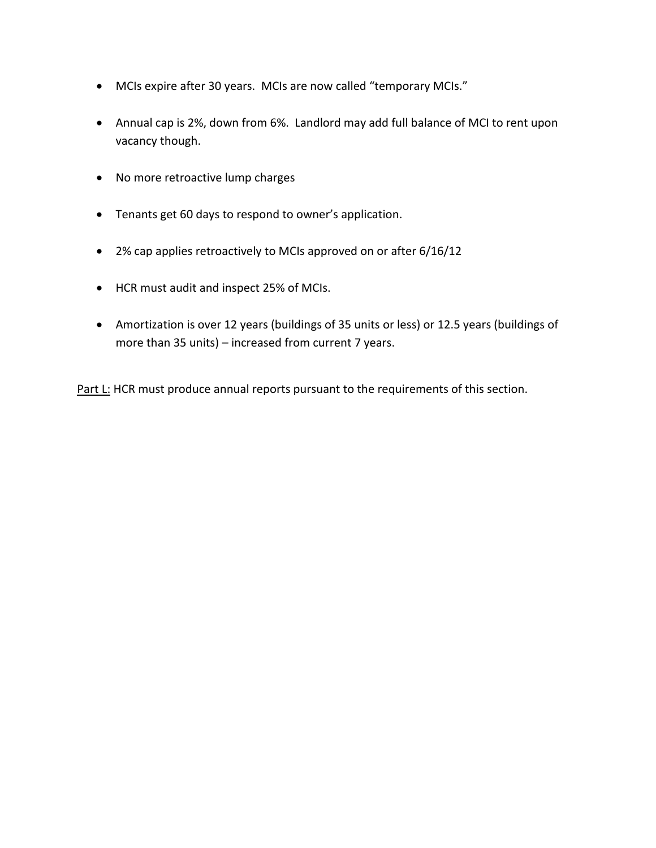- MCIs expire after 30 years. MCIs are now called "temporary MCIs."
- Annual cap is 2%, down from 6%. Landlord may add full balance of MCI to rent upon vacancy though.
- No more retroactive lump charges
- Tenants get 60 days to respond to owner's application.
- 2% cap applies retroactively to MCIs approved on or after 6/16/12
- HCR must audit and inspect 25% of MCIs.
- Amortization is over 12 years (buildings of 35 units or less) or 12.5 years (buildings of more than 35 units) – increased from current 7 years.

Part L: HCR must produce annual reports pursuant to the requirements of this section.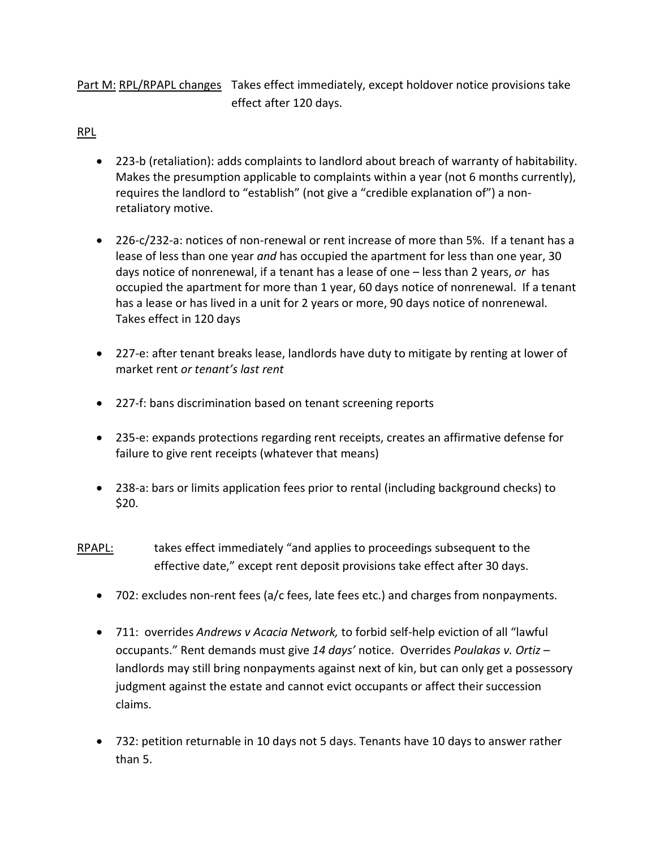Part M: RPL/RPAPL changes Takes effect immediately, except holdover notice provisions take effect after 120 days.

### RPL

- 223-b (retaliation): adds complaints to landlord about breach of warranty of habitability. Makes the presumption applicable to complaints within a year (not 6 months currently), requires the landlord to "establish" (not give a "credible explanation of") a nonretaliatory motive.
- 226-c/232-a: notices of non-renewal or rent increase of more than 5%. If a tenant has a lease of less than one year *and* has occupied the apartment for less than one year, 30 days notice of nonrenewal, if a tenant has a lease of one – less than 2 years, *or* has occupied the apartment for more than 1 year, 60 days notice of nonrenewal. If a tenant has a lease or has lived in a unit for 2 years or more, 90 days notice of nonrenewal. Takes effect in 120 days
- 227-e: after tenant breaks lease, landlords have duty to mitigate by renting at lower of market rent *or tenant's last rent*
- 227-f: bans discrimination based on tenant screening reports
- 235-e: expands protections regarding rent receipts, creates an affirmative defense for failure to give rent receipts (whatever that means)
- 238-a: bars or limits application fees prior to rental (including background checks) to \$20.
- RPAPL: takes effect immediately "and applies to proceedings subsequent to the effective date," except rent deposit provisions take effect after 30 days.
	- 702: excludes non-rent fees (a/c fees, late fees etc.) and charges from nonpayments.
	- 711: overrides *Andrews v Acacia Network,* to forbid self-help eviction of all "lawful occupants." Rent demands must give *14 days'* notice. Overrides *Poulakas v. Ortiz* – landlords may still bring nonpayments against next of kin, but can only get a possessory judgment against the estate and cannot evict occupants or affect their succession claims.
	- 732: petition returnable in 10 days not 5 days. Tenants have 10 days to answer rather than 5.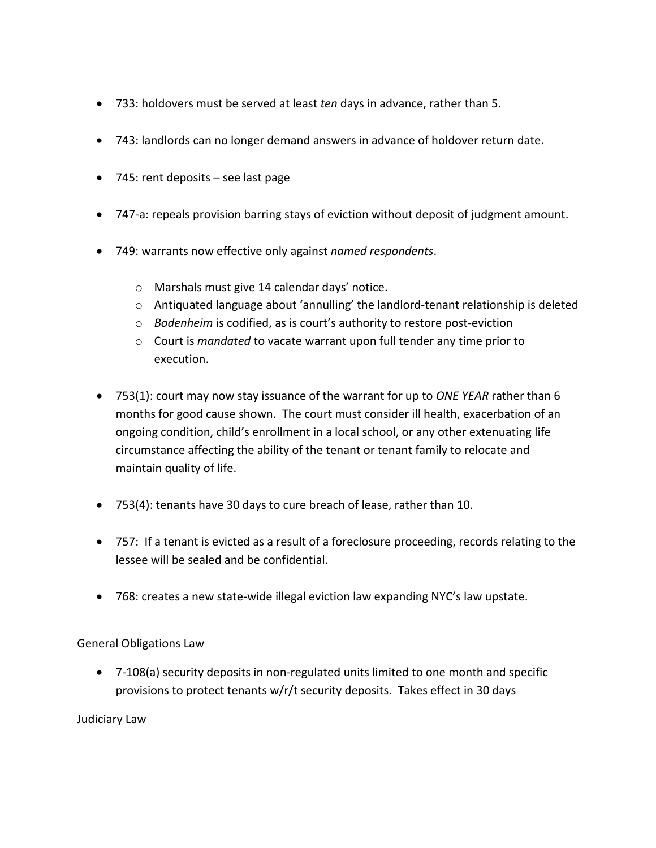- 733: holdovers must be served at least *ten* days in advance, rather than 5.
- 743: landlords can no longer demand answers in advance of holdover return date.
- 745: rent deposits see last page
- 747-a: repeals provision barring stays of eviction without deposit of judgment amount.
- 749: warrants now effective only against *named respondents*.
	- o Marshals must give 14 calendar days' notice.
	- o Antiquated language about 'annulling' the landlord-tenant relationship is deleted
	- o *Bodenheim* is codified, as is court's authority to restore post-eviction
	- o Court is *mandated* to vacate warrant upon full tender any time prior to execution.
- 753(1): court may now stay issuance of the warrant for up to *ONE YEAR* rather than 6 months for good cause shown. The court must consider ill health, exacerbation of an ongoing condition, child's enrollment in a local school, or any other extenuating life circumstance affecting the ability of the tenant or tenant family to relocate and maintain quality of life.
- 753(4): tenants have 30 days to cure breach of lease, rather than 10.
- 757: If a tenant is evicted as a result of a foreclosure proceeding, records relating to the lessee will be sealed and be confidential.
- 768: creates a new state-wide illegal eviction law expanding NYC's law upstate.

General Obligations Law

 7-108(a) security deposits in non-regulated units limited to one month and specific provisions to protect tenants w/r/t security deposits. Takes effect in 30 days

Judiciary Law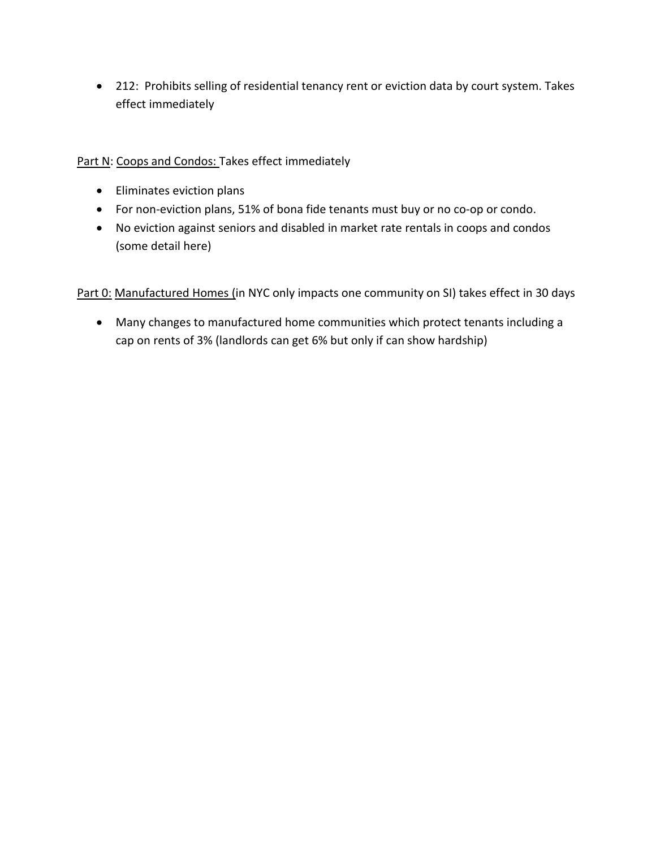212: Prohibits selling of residential tenancy rent or eviction data by court system. Takes effect immediately

Part N: Coops and Condos: Takes effect immediately

- Eliminates eviction plans
- For non-eviction plans, 51% of bona fide tenants must buy or no co-op or condo.
- No eviction against seniors and disabled in market rate rentals in coops and condos (some detail here)

Part 0: Manufactured Homes (in NYC only impacts one community on SI) takes effect in 30 days

 Many changes to manufactured home communities which protect tenants including a cap on rents of 3% (landlords can get 6% but only if can show hardship)